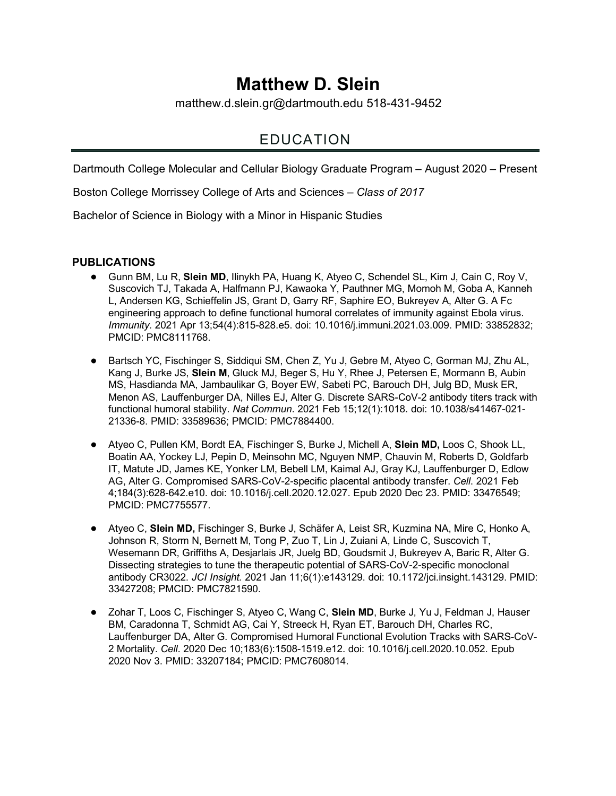# **Matthew D. Slein**

matthew.d.slein.gr@dartmouth.edu 518-431-9452

## EDUCATION

Dartmouth College Molecular and Cellular Biology Graduate Program – August 2020 – Present

Boston College Morrissey College of Arts and Sciences – *Class of 2017* 

Bachelor of Science in Biology with a Minor in Hispanic Studies

#### **PUBLICATIONS**

- Gunn BM, Lu R, **Slein MD**, Ilinykh PA, Huang K, Atyeo C, Schendel SL, Kim J, Cain C, Roy V, Suscovich TJ, Takada A, Halfmann PJ, Kawaoka Y, Pauthner MG, Momoh M, Goba A, Kanneh L, Andersen KG, Schieffelin JS, Grant D, Garry RF, Saphire EO, Bukreyev A, Alter G. A Fc engineering approach to define functional humoral correlates of immunity against Ebola virus. *Immunity.* 2021 Apr 13;54(4):815-828.e5. doi: 10.1016/j.immuni.2021.03.009. PMID: 33852832; PMCID: PMC8111768.
- Bartsch YC, Fischinger S, Siddiqui SM, Chen Z, Yu J, Gebre M, Atyeo C, Gorman MJ, Zhu AL, Kang J, Burke JS, **Slein M**, Gluck MJ, Beger S, Hu Y, Rhee J, Petersen E, Mormann B, Aubin MS, Hasdianda MA, Jambaulikar G, Boyer EW, Sabeti PC, Barouch DH, Julg BD, Musk ER, Menon AS, Lauffenburger DA, Nilles EJ, Alter G. Discrete SARS-CoV-2 antibody titers track with functional humoral stability. *Nat Commun*. 2021 Feb 15;12(1):1018. doi: 10.1038/s41467-021- 21336-8. PMID: 33589636; PMCID: PMC7884400.
- Atyeo C, Pullen KM, Bordt EA, Fischinger S, Burke J, Michell A, **Slein MD,** Loos C, Shook LL, Boatin AA, Yockey LJ, Pepin D, Meinsohn MC, Nguyen NMP, Chauvin M, Roberts D, Goldfarb IT, Matute JD, James KE, Yonker LM, Bebell LM, Kaimal AJ, Gray KJ, Lauffenburger D, Edlow AG, Alter G. Compromised SARS-CoV-2-specific placental antibody transfer. *Cell*. 2021 Feb 4;184(3):628-642.e10. doi: 10.1016/j.cell.2020.12.027. Epub 2020 Dec 23. PMID: 33476549; PMCID: PMC7755577.
- Atyeo C, Slein MD, Fischinger S, Burke J, Schäfer A, Leist SR, Kuzmina NA, Mire C, Honko A, Johnson R, Storm N, Bernett M, Tong P, Zuo T, Lin J, Zuiani A, Linde C, Suscovich T, Wesemann DR, Griffiths A, Desjarlais JR, Juelg BD, Goudsmit J, Bukreyev A, Baric R, Alter G. Dissecting strategies to tune the therapeutic potential of SARS-CoV-2-specific monoclonal antibody CR3022. *JCI Insight.* 2021 Jan 11;6(1):e143129. doi: 10.1172/jci.insight.143129. PMID: 33427208; PMCID: PMC7821590.
- Zohar T, Loos C, Fischinger S, Atyeo C, Wang C, **Slein MD**, Burke J, Yu J, Feldman J, Hauser BM, Caradonna T, Schmidt AG, Cai Y, Streeck H, Ryan ET, Barouch DH, Charles RC, Lauffenburger DA, Alter G. Compromised Humoral Functional Evolution Tracks with SARS-CoV-2 Mortality. *Cell*. 2020 Dec 10;183(6):1508-1519.e12. doi: 10.1016/j.cell.2020.10.052. Epub 2020 Nov 3. PMID: 33207184; PMCID: PMC7608014.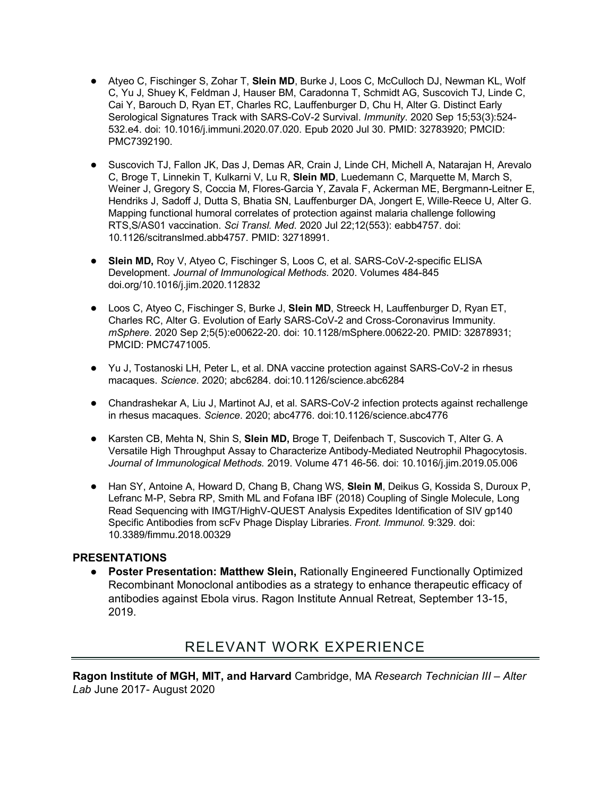- Atyeo C, Fischinger S, Zohar T, Slein MD, Burke J, Loos C, McCulloch DJ, Newman KL, Wolf C, Yu J, Shuey K, Feldman J, Hauser BM, Caradonna T, Schmidt AG, Suscovich TJ, Linde C, Cai Y, Barouch D, Ryan ET, Charles RC, Lauffenburger D, Chu H, Alter G. Distinct Early Serological Signatures Track with SARS-CoV-2 Survival. *Immunity*. 2020 Sep 15;53(3):524- 532.e4. doi: 10.1016/j.immuni.2020.07.020. Epub 2020 Jul 30. PMID: 32783920; PMCID: PMC7392190.
- Suscovich TJ, Fallon JK, Das J, Demas AR, Crain J, Linde CH, Michell A, Natarajan H, Arevalo C, Broge T, Linnekin T, Kulkarni V, Lu R, **Slein MD**, Luedemann C, Marquette M, March S, Weiner J, Gregory S, Coccia M, Flores-Garcia Y, Zavala F, Ackerman ME, Bergmann-Leitner E, Hendriks J, Sadoff J, Dutta S, Bhatia SN, Lauffenburger DA, Jongert E, Wille-Reece U, Alter G. Mapping functional humoral correlates of protection against malaria challenge following RTS,S/AS01 vaccination. *Sci Transl. Med*. 2020 Jul 22;12(553): eabb4757. doi: 10.1126/scitranslmed.abb4757. PMID: 32718991.
- **Slein MD,** Roy V, Atyeo C, Fischinger S, Loos C, et al. SARS-CoV-2-specific ELISA Development. *Journal of Immunological Methods.* 2020. Volumes 484-845 doi.org/10.1016/j.jim.2020.112832
- Loos C, Atyeo C, Fischinger S, Burke J, Slein MD, Streeck H, Lauffenburger D, Ryan ET, Charles RC, Alter G. Evolution of Early SARS-CoV-2 and Cross-Coronavirus Immunity. *mSphere*. 2020 Sep 2;5(5):e00622-20. doi: 10.1128/mSphere.00622-20. PMID: 32878931; PMCID: PMC7471005.
- Yu J, Tostanoski LH, Peter L, et al. DNA vaccine protection against SARS-CoV-2 in rhesus macaques. *Science*. 2020; abc6284. doi:10.1126/science.abc6284
- Chandrashekar A, Liu J, Martinot AJ, et al. SARS-CoV-2 infection protects against rechallenge in rhesus macaques. *Science*. 2020; abc4776. doi:10.1126/science.abc4776
- Karsten CB, Mehta N, Shin S, Slein MD, Broge T, Deifenbach T, Suscovich T, Alter G. A Versatile High Throughput Assay to Characterize Antibody-Mediated Neutrophil Phagocytosis. *Journal of Immunological Methods.* 2019. Volume 471 46-56. doi: 10.1016/j.jim.2019.05.006
- Han SY, Antoine A, Howard D, Chang B, Chang WS, **Slein M**, Deikus G, Kossida S, Duroux P, Lefranc M-P, Sebra RP, Smith ML and Fofana IBF (2018) Coupling of Single Molecule, Long Read Sequencing with IMGT/HighV-QUEST Analysis Expedites Identification of SIV gp140 Specific Antibodies from scFv Phage Display Libraries. *Front. Immunol.* 9:329. doi: 10.3389/fimmu.2018.00329

#### **PRESENTATIONS**

● **Poster Presentation: Matthew Slein,** Rationally Engineered Functionally Optimized Recombinant Monoclonal antibodies as a strategy to enhance therapeutic efficacy of antibodies against Ebola virus. Ragon Institute Annual Retreat, September 13-15, 2019.

### RELEVANT WORK EXPERIENCE

**Ragon Institute of MGH, MIT, and Harvard** Cambridge, MA *Research Technician III – Alter Lab* June 2017- August 2020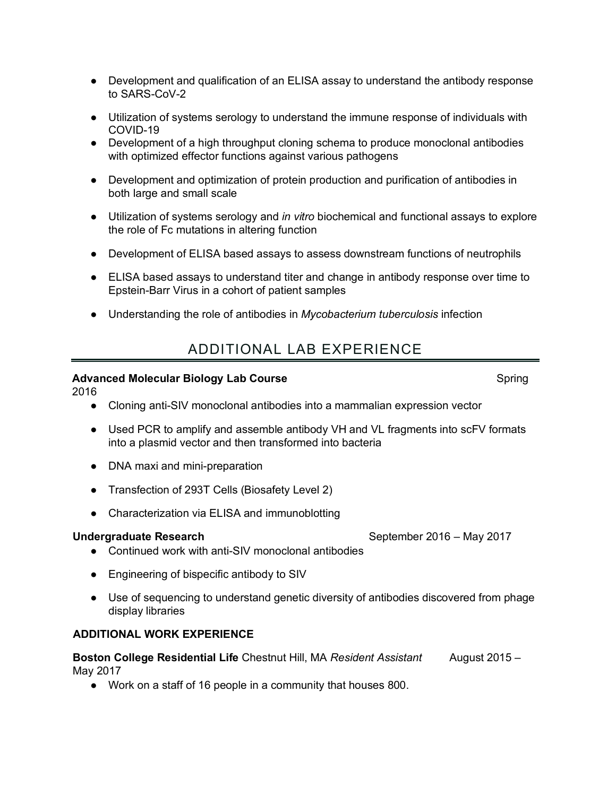- Development and qualification of an ELISA assay to understand the antibody response to SARS-CoV-2
- Utilization of systems serology to understand the immune response of individuals with COVID-19
- Development of a high throughput cloning schema to produce monoclonal antibodies with optimized effector functions against various pathogens
- Development and optimization of protein production and purification of antibodies in both large and small scale
- Utilization of systems serology and *in vitro* biochemical and functional assays to explore the role of Fc mutations in altering function
- Development of ELISA based assays to assess downstream functions of neutrophils
- ELISA based assays to understand titer and change in antibody response over time to Epstein-Barr Virus in a cohort of patient samples
- Understanding the role of antibodies in *Mycobacterium tuberculosis* infection

### ADDITIONAL LAB EXPERIENCE

#### **Advanced Molecular Biology Lab Course**  Spring Spring Spring Spring

2016

- Cloning anti-SIV monoclonal antibodies into a mammalian expression vector
- Used PCR to amplify and assemble antibody VH and VL fragments into scFV formats into a plasmid vector and then transformed into bacteria
- DNA maxi and mini-preparation
- Transfection of 293T Cells (Biosafety Level 2)
- Characterization via ELISA and immunoblotting

#### **Undergraduate Research**  September 2016 – May 2017

- Continued work with anti-SIV monoclonal antibodies
- Engineering of bispecific antibody to SIV
- Use of sequencing to understand genetic diversity of antibodies discovered from phage display libraries

#### **ADDITIONAL WORK EXPERIENCE**

**Boston College Residential Life** Chestnut Hill, MA *Resident Assistant* August 2015 – May 2017

● Work on a staff of 16 people in a community that houses 800.